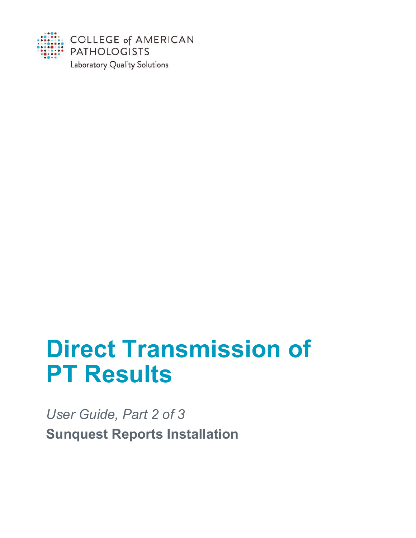

# **Direct Transmission of PT Results**

*User Guide, Part 2 of 3* **Sunquest Reports Installation**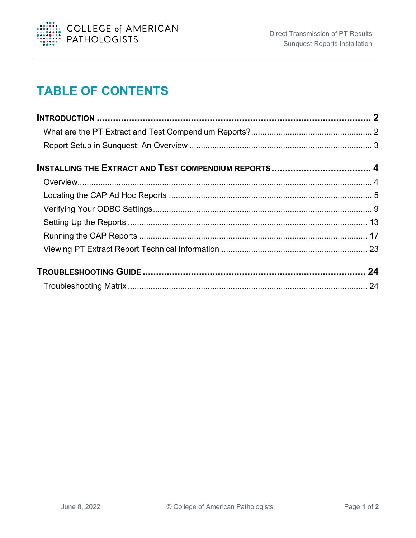

# **TABLE OF CONTENTS**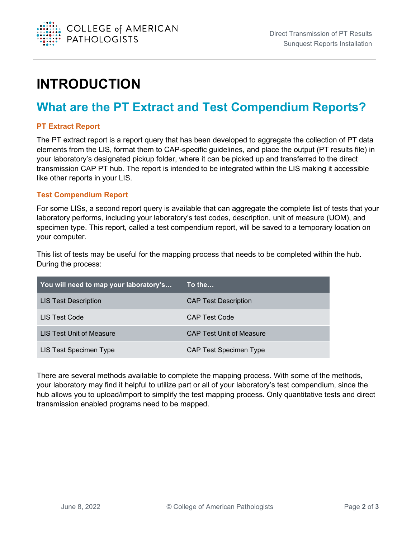

# <span id="page-2-0"></span>**INTRODUCTION**

# <span id="page-2-1"></span>**What are the PT Extract and Test Compendium Reports?**

#### **PT Extract Report**

The PT extract report is a report query that has been developed to aggregate the collection of PT data elements from the LIS, format them to CAP-specific guidelines, and place the output (PT results file) in your laboratory's designated pickup folder, where it can be picked up and transferred to the direct transmission CAP PT hub. The report is intended to be integrated within the LIS making it accessible like other reports in your LIS.

#### **Test Compendium Report**

For some LISs, a second report query is available that can aggregate the complete list of tests that your laboratory performs, including your laboratory's test codes, description, unit of measure (UOM), and specimen type. This report, called a test compendium report, will be saved to a temporary location on your computer.

This list of tests may be useful for the mapping process that needs to be completed within the hub. During the process:

| You will need to map your laboratory's | To the…                         |
|----------------------------------------|---------------------------------|
| <b>LIS Test Description</b>            | <b>CAP Test Description</b>     |
| LIS Test Code                          | <b>CAP Test Code</b>            |
| LIS Test Unit of Measure               | <b>CAP Test Unit of Measure</b> |
| LIS Test Specimen Type                 | <b>CAP Test Specimen Type</b>   |

There are several methods available to complete the mapping process. With some of the methods, your laboratory may find it helpful to utilize part or all of your laboratory's test compendium, since the hub allows you to upload/import to simplify the test mapping process. Only quantitative tests and direct transmission enabled programs need to be mapped.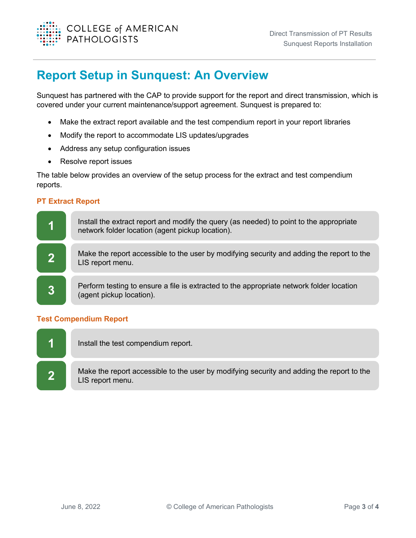

## <span id="page-3-0"></span>**Report Setup in Sunquest: An Overview**

Sunquest has partnered with the CAP to provide support for the report and direct transmission, which is covered under your current maintenance/support agreement. Sunquest is prepared to:

- Make the extract report available and the test compendium report in your report libraries
- Modify the report to accommodate LIS updates/upgrades
- Address any setup configuration issues
- Resolve report issues

The table below provides an overview of the setup process for the extract and test compendium reports.

#### **PT Extract Report**



#### **Test Compendium Report**

**1** Install the test compendium report.

**2** Make the report accessible to the user by modifying security and adding the report to the LIS report menu.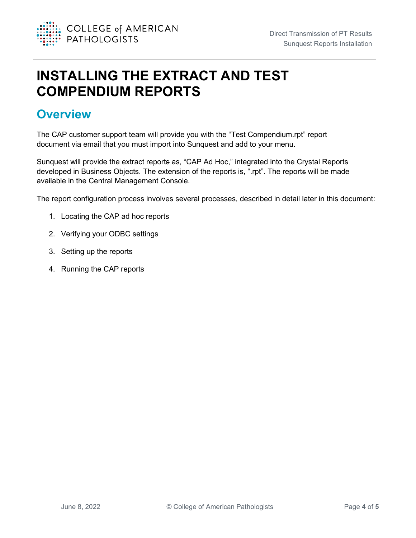

# <span id="page-4-0"></span>**INSTALLING THE EXTRACT AND TEST COMPENDIUM REPORTS**

## <span id="page-4-1"></span>**Overview**

The CAP customer support team will provide you with the "Test Compendium.rpt" report document via email that you must import into Sunquest and add to your menu.

Sunquest will provide the extract reports as, "CAP Ad Hoc," integrated into the Crystal Reports developed in Business Objects. The extension of the reports is, ".rpt". The reports will be made available in the Central Management Console.

The report configuration process involves several processes, described in detail later in this document:

- 1. Locating the CAP ad hoc reports
- 2. Verifying your ODBC settings
- 3. Setting up the reports
- 4. Running the CAP reports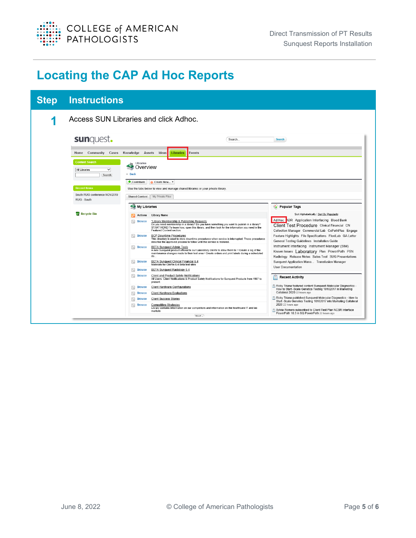

# <span id="page-5-0"></span>**Locating the CAP Ad Hoc Reports**

| <b>Step</b> | <b>Instructions</b>                                                                                                                                                   |                                                                                                                                                                                                                                                                                                                                                                                                                                                                                                              |                                                                                                                                                                                                             |
|-------------|-----------------------------------------------------------------------------------------------------------------------------------------------------------------------|--------------------------------------------------------------------------------------------------------------------------------------------------------------------------------------------------------------------------------------------------------------------------------------------------------------------------------------------------------------------------------------------------------------------------------------------------------------------------------------------------------------|-------------------------------------------------------------------------------------------------------------------------------------------------------------------------------------------------------------|
|             |                                                                                                                                                                       | Access SUN Libraries and click Adhoc.                                                                                                                                                                                                                                                                                                                                                                                                                                                                        |                                                                                                                                                                                                             |
|             | sunquest.                                                                                                                                                             | Search                                                                                                                                                                                                                                                                                                                                                                                                                                                                                                       | <b>Search</b>                                                                                                                                                                                               |
|             | Home Community Cases<br><b>Content Search</b><br>$\checkmark$<br><b>All Libraries</b><br>Search<br><b>Recent Items</b><br>South RUG conference NOV2019<br>RUG - South | Knowledge Assets<br>Events<br>Ideas<br>Libraries<br>Libraries<br>Overview<br>« Back<br>Contribute<br>- Create New ▼<br>Use the tabs below to view and manage shared libraries or your private library.<br><b>Shared Content</b><br>My Private Files                                                                                                                                                                                                                                                          |                                                                                                                                                                                                             |
|             |                                                                                                                                                                       | My Libraries                                                                                                                                                                                                                                                                                                                                                                                                                                                                                                 | Popular Tags                                                                                                                                                                                                |
|             | <b>N</b> Recycle Bin                                                                                                                                                  | <b>Library Name</b><br><b>Actions</b><br><b>Browse</b><br>*Library Membership & Publishing Requests<br>Do you need membership in a library? Do you have something you want to publish in a library?<br>START HERE! To learn how, open this library, and then look for the information you need in the<br><b>Featured Content section</b>                                                                                                                                                                     | Sort Alphabetically   Sort By Popularity<br>Ad Hoc ADR Application Interfacing Blood Bank<br>Client Test Procedure Clinical Financial CN<br>Collection Manager Commercial Lab CoPathPlus Engage             |
|             |                                                                                                                                                                       | <b>BCP Downtime Procedures</b><br><b>Browse</b><br>This directory is used to store downtime procedures when service is interrupted. These procedures<br>describe the approved process to follow until the service is restored.<br>$\overline{a}$<br><b>BETA Sunquest Admin Tools</b><br><b>Browse</b><br>A new Sunquest product offered to our Laboratory clients to allow them to: • Create a log of the<br>maintenance changes made to their test area . Create orders and print labels during a scheduled | Feature Highlights File Specifications FlexiLab GA Letter<br>General Testing Guidelines Installation Guide<br>Instrument Interfacing Instrument Manager (SIM)<br>Known Issues Laboratory Plan PowerPath PSN |
|             |                                                                                                                                                                       | do<br>BETA Sunguest Clinical Financial 6.4<br>$\overline{\omega}$<br><b>Browse</b><br>Materials for ClinFin 6.4 Beta test sites                                                                                                                                                                                                                                                                                                                                                                              | Radiology Release Notes Sales Tool SUG Presentations<br>Sunquest Application Mana Transfusion Manager                                                                                                       |
|             |                                                                                                                                                                       | BETA Sunguest Radiology 5.4<br><b>Browse</b><br><b>Browse</b><br><b>Client and Product Safety Notifications</b>                                                                                                                                                                                                                                                                                                                                                                                              | <b>User Documentation</b>                                                                                                                                                                                   |
|             |                                                                                                                                                                       | All Users: Client Notifications & Product Safety Notifications for Sunquest Products from 1997 to<br>present.                                                                                                                                                                                                                                                                                                                                                                                                | <b>Recent Activity</b>                                                                                                                                                                                      |
|             |                                                                                                                                                                       | <b>Browse</b><br><b>Client Hardware Configurations</b><br>l o<br><b>Client Hardware Evaluations</b><br><b>Browse</b>                                                                                                                                                                                                                                                                                                                                                                                         | Ricky Triana featured content Sunquest-Molecular Diagnostics -<br>How to Start -Scale Genetics Testing 10102017 in Marketing<br>Collateral 2020 22 hours ago                                                |
|             |                                                                                                                                                                       | <b>Client Success Stories</b><br><b>Browse</b>                                                                                                                                                                                                                                                                                                                                                                                                                                                               | Ricky Triana published Sunquest-Molecular Diagnostics - How to                                                                                                                                              |
|             |                                                                                                                                                                       | $\overline{\omega}$<br><b>Browse</b><br><b>Competitive Strategies</b><br>Library contains information on our competitors and information on the healthcare IT and lab<br>markets                                                                                                                                                                                                                                                                                                                             | Start -Scale Genetics Testing 10102017 into Marketing Collateral<br>2020 22 hours ago<br>Sylvia Romero subscribed to Client Test Plan NCSR Interface                                                        |
|             |                                                                                                                                                                       | Movt -                                                                                                                                                                                                                                                                                                                                                                                                                                                                                                       | PowerPath 10.3 in SQ PowerPath 22 hours ago                                                                                                                                                                 |
|             |                                                                                                                                                                       |                                                                                                                                                                                                                                                                                                                                                                                                                                                                                                              |                                                                                                                                                                                                             |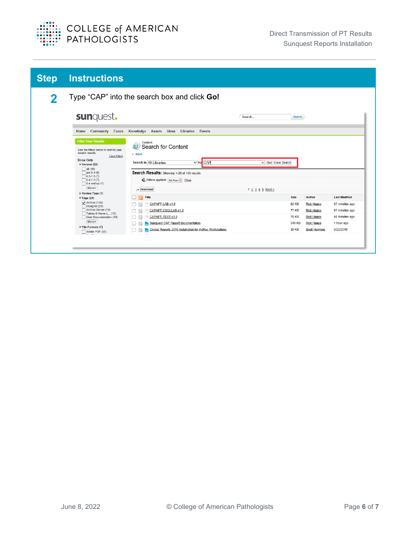

| <b>Step</b> | <b>Instructions</b>                                                                                                                                                                                                                           |                                                                                                                                                                                                                                                    |                    |               |               |                      |
|-------------|-----------------------------------------------------------------------------------------------------------------------------------------------------------------------------------------------------------------------------------------------|----------------------------------------------------------------------------------------------------------------------------------------------------------------------------------------------------------------------------------------------------|--------------------|---------------|---------------|----------------------|
| 2           |                                                                                                                                                                                                                                               | Type "CAP" into the search box and click Go!                                                                                                                                                                                                       |                    |               |               |                      |
|             | sunquest.                                                                                                                                                                                                                                     |                                                                                                                                                                                                                                                    | Search             | <b>Search</b> |               |                      |
|             | Home Community Cases                                                                                                                                                                                                                          | Knowledge Assets<br>Ideas<br>Libraries<br>Events                                                                                                                                                                                                   |                    |               |               |                      |
|             | <b>Filter Your Results</b><br>Use the filters below to restrict your<br>search results<br>Clear Filters<br><b>Show Only</b><br>$\blacktriangledown$ Version (22)<br>$\Box$ all (16)<br>$\Box$ pre 6.4 (8)<br>$6.2 - 7.0(7)$<br>$6.4 - 7.0(7)$ | Content<br>$\boldsymbol{\Theta}$<br>Search for Content<br>« Back<br>Search in All Libraries<br>$\overline{\smash{\triangleright}}$ for $\overline{\text{CAP}}$<br>Search Results: Showing 1-20 of 100 results<br>Filters applied: Ad Hoc (x) Clear | X Go! Clear Search |               |               |                      |
|             | $\Box$ 6.4 and up (7)<br>More                                                                                                                                                                                                                 | Download                                                                                                                                                                                                                                           | 1 2 3 4 5 Next >   |               |               |                      |
|             | Review Type (1)<br>$\blacktriangledown$ Tags (29)                                                                                                                                                                                             | Title<br>H<br>IФ                                                                                                                                                                                                                                   |                    | Size          | Author        | <b>Last Modified</b> |
|             | $\sqrt{\phantom{a}}$ Ad Hoc (100)<br>Designer (29)                                                                                                                                                                                            | CAPAPT-LAB-v1.0                                                                                                                                                                                                                                    |                    | 82 KB         | Rick Haase    | 57 minutes ago       |
|             | Ad Hoc Server (19)<br>Tables & Views-L (15)                                                                                                                                                                                                   | CAPAPT-CSQLLAB-v1.0                                                                                                                                                                                                                                |                    | 77 KB         | Rick Haase    | 57 minutes ago       |
|             | User Documentation (14)                                                                                                                                                                                                                       | CAPAPT-TEST-v1.0<br>ш                                                                                                                                                                                                                              |                    | 78 KB         | Rick Haase    | 58 minutes ago       |
|             | More<br>$\blacktriangleright$ File Formats (7)                                                                                                                                                                                                | <b>Sunquest CAP Report documentation</b><br>□                                                                                                                                                                                                      |                    | 510 KB        | Rick Haase    | 1 hour ago           |
|             | Adobe PDF (68)                                                                                                                                                                                                                                | Crystal Reports 2016 Installation for AdHoc Workstations<br>□                                                                                                                                                                                      |                    | 38 KB         | Scott Hawkins | 5/22/2019            |
|             |                                                                                                                                                                                                                                               |                                                                                                                                                                                                                                                    |                    |               |               |                      |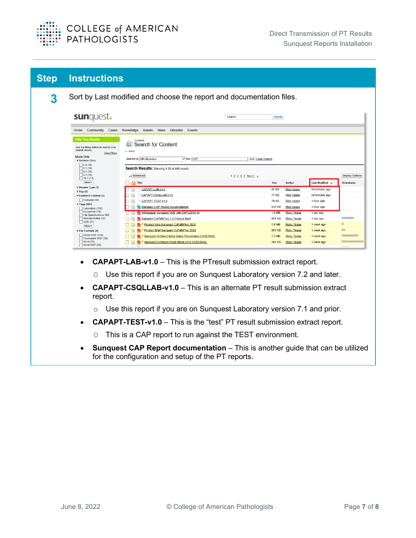

| <b>Step</b> | <b>Instructions</b>                                                                                                                                                                                                                                                 |                                                                                                                                                                                                                                                             |                                              |                                                |                                                                                                          |                                                                                 |                                    |
|-------------|---------------------------------------------------------------------------------------------------------------------------------------------------------------------------------------------------------------------------------------------------------------------|-------------------------------------------------------------------------------------------------------------------------------------------------------------------------------------------------------------------------------------------------------------|----------------------------------------------|------------------------------------------------|----------------------------------------------------------------------------------------------------------|---------------------------------------------------------------------------------|------------------------------------|
| 3           |                                                                                                                                                                                                                                                                     | Sort by Last modified and choose the report and documentation files.                                                                                                                                                                                        |                                              |                                                |                                                                                                          |                                                                                 |                                    |
|             | sunquest.                                                                                                                                                                                                                                                           |                                                                                                                                                                                                                                                             | Search                                       | <b>Search</b>                                  |                                                                                                          |                                                                                 |                                    |
|             | <b>Filter Your Results</b><br>Use the filters below to restrict your<br>search results<br>Clear Filters<br><b>Show Only</b><br>$\blacktriangledown$ Version (30+)<br>$\Box$ 6.3 (16)<br>$\Box$ 9.1 (16)<br>$\sqrt{6.1(15)}$<br>$\sqrt{6.2(15)}$<br>$\Box$ 10.2 (13) | Content<br>Search for Content<br>« Back<br>Search in All Libraries<br>$\vee$ for $CAP$<br>Search Results: Showing 1-20 of 409 results<br>Download                                                                                                           | Go! Clear Search<br>$1 2 3 4 5$ Next $>_{2}$ |                                                |                                                                                                          |                                                                                 | <b>Display Options</b>             |
|             | More<br>Title<br>ТōГ<br>Review Type (3)<br>$\triangleright$ Day (5)<br>▼ Featured Content (1)<br>Featured (48)<br>$\blacktriangledown$ Tags (30+)<br>Laboratory (106)                                                                                               | CAPAPT-LAB-v1.0<br>CAPAPT-CSQLLAB-v1.0<br>CAPAPT-TEST-v1.0<br>Sunquest CAP Report documentation                                                                                                                                                             |                                              | Size<br>82 KB<br>77 KB<br>78 KB<br>510 KB      | Author<br><b>Rick Haase</b><br><b>Rick Haase</b><br><b>Rick Haase</b><br><b>Rick Haase</b>               | Last Modified y<br>59 minutes ago<br>59 minutes ago<br>1 hour ago<br>1 hour ago | Downloads                          |
|             | PowerPath (76)<br>File Specifications (64)<br>Release Notes (42)<br>$\Box$ ADR (37)<br>More<br>$\blacktriangledown$ File Formats (9)<br>Adobe PDF (276)                                                                                                             | Whitepaper Sunquest VUE with DMTs2018-10<br>Sunquest CoPathPlus 7.0 Product Brief<br>口で<br>Product Intro Sunquest CoPathPlus 2020<br>$\Box$<br>Product Brief Sunquest CoPathPlus 2020<br>日で<br>Sunquest DI Direct Initial Sales Presentation EXTERNAL<br>பல |                                              | 1.5 MB<br>851 KB<br>2.6 MB<br>851 KB<br>7.2 MB | Ricky Triana<br><b>Ricky Triana</b><br><b>Ricky Triana</b><br><b>Ricky Triana</b><br><b>Ricky Triana</b> | 1 day ago<br>1 day ago<br>1 week ago<br>1 week ago<br>1 week ago                | <b>Contract Contract</b><br>田<br>⊟ |
|             | Powerpoint 2007 (58)<br>Word $(25)$<br>Word 2007 (23)                                                                                                                                                                                                               | Sunquest DI Direct Cheat Sheet 2019 EXTERNAL<br>$\overline{\phantom{a}}$<br>$ -$                                                                                                                                                                            |                                              | 202 KB                                         | <b>Ricky Triana</b>                                                                                      | 1 week ago                                                                      |                                    |

- **CAPAPT-LAB-v1.0** This is the PTresult submission extract report.
	- O Use this report if you are on Sunquest Laboratory version 7.2 and later.
- **CAPAPT-CSQLLAB-v1.0** This is an alternate PT result submission extract report.
	- o Use this report if you are on Sunquest Laboratory version 7.1 and prior.
- **CAPAPT-TEST-v1.0** This is the "test" PT result submission extract report.
	- O This is a CAP report to run against the TEST environment.
- **Sunquest CAP Report documentation** This is another guide that can be utilized for the configuration and setup of the PT reports.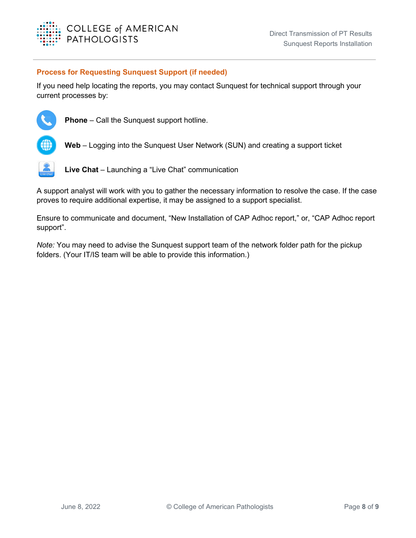

#### **Process for Requesting Sunquest Support (if needed)**

If you need help locating the reports, you may contact Sunquest for technical support through your current processes by:



**Phone** – Call the Sunquest support hotline.



**Web** – Logging into the Sunquest User Network (SUN) and creating a support ticket



**Live Chat** – Launching a "Live Chat" communication

A support analyst will work with you to gather the necessary information to resolve the case. If the case proves to require additional expertise, it may be assigned to a support specialist.

Ensure to communicate and document, "New Installation of CAP Adhoc report," or, "CAP Adhoc report support".

*Note:* You may need to advise the Sunquest support team of the network folder path for the pickup folders. (Your IT/IS team will be able to provide this information.)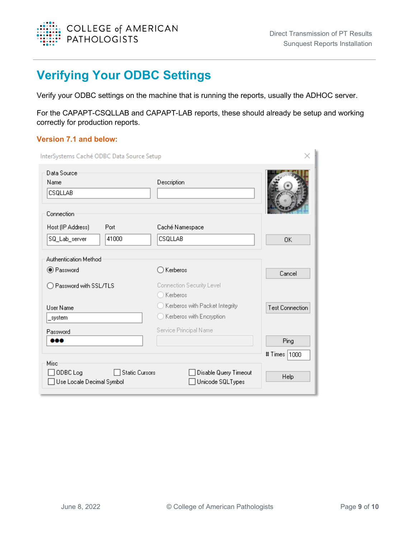

# <span id="page-9-0"></span>**Verifying Your ODBC Settings**

Verify your ODBC settings on the machine that is running the reports, usually the ADHOC server.

For the CAPAPT-CSQLLAB and CAPAPT-LAB reports, these should already be setup and working correctly for production reports.

#### **Version 7.1 and below:**

| InterSystems Caché ODBC Data Source Setup     | ×              |                                           |                        |
|-----------------------------------------------|----------------|-------------------------------------------|------------------------|
| Data Source<br>Name<br>CSQLLAB                |                | Description                               |                        |
| Connection<br>Host (IP Address)               | Port           | Caché Namespace                           |                        |
| SQ_Lab_server                                 | 41000          | CSQLLAB                                   | 0K                     |
| Authentication Method                         |                |                                           |                        |
| ◉ Password                                    |                | ∩ Kerberos                                | Cancel                 |
| Password with SSL/TLS                         |                | Connection Security Level<br>) Kerberos   |                        |
| <b>User Name</b>                              |                | ◯ Kerberos with Packet Integrity          | <b>Test Connection</b> |
| _system                                       |                | ◯ Kerberos with Encryption                |                        |
| Password<br>                                  |                | Service Principal Name                    | Ping                   |
|                                               |                |                                           | # Times   1000         |
| Misc<br>ODBC Log<br>Use Locale Decimal Symbol | Static Cursors | Disable Query Timeout<br>Unicode SQLTypes | Help                   |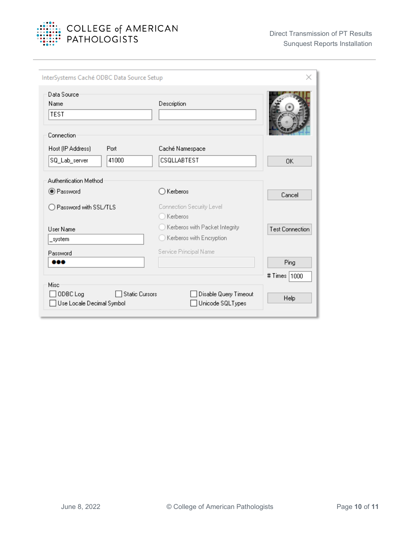

| InterSystems Caché ODBC Data Source Setup                              |                                                                                                     | ×                      |
|------------------------------------------------------------------------|-----------------------------------------------------------------------------------------------------|------------------------|
| Data Source<br>Name<br><b>TEST</b><br>Connection                       | Description                                                                                         |                        |
| Host (IP Address)<br>Port<br>41000<br>SQ_Lab_server                    | Caché Namespace<br>CSQLLABTEST                                                                      | $\Omega$ K             |
| Authentication Method<br><b>O</b> Password                             | $\bigcirc$ Kerberos                                                                                 | Cancel                 |
| Password with SSL/TLS<br><b>User Name</b>                              | Connection Security Level<br>Kerberos<br>Kerberos with Packet Integrity<br>Kerberos with Encryption | <b>Test Connection</b> |
| system<br>Password<br>900                                              | Service Principal Name                                                                              | Ping                   |
| Misc<br><b>Static Cursors</b><br>ODBC Log<br>Use Locale Decimal Symbol | Disable Query Timeout<br>Unicode SQLTypes                                                           | # Times   1000<br>Help |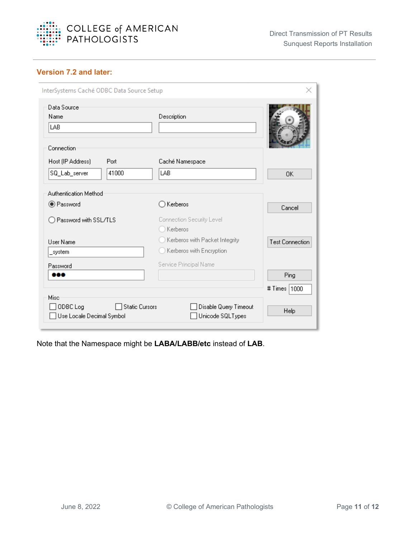

#### **Version 7.2 and later:**

| InterSystems Caché ODBC Data Source Setup        |                       |                                                            | ×                      |
|--------------------------------------------------|-----------------------|------------------------------------------------------------|------------------------|
| Data Source<br>Name<br>LAB                       |                       | Description                                                |                        |
| Connection<br>Host (IP Address)<br>SQ_Lab_server | Port<br>41000         | Caché Namespace<br>LAB                                     | 0K                     |
| Authentication Method<br>● Password              |                       | Kerberos                                                   | Cancel                 |
| Password with SSL/TLS                            |                       | Connection Security Level<br>Kerberos                      |                        |
| <b>Hser Name</b><br>system                       |                       | Kerberos with Packet Integrity<br>Kerberos with Encryption | <b>Test Connection</b> |
| Password<br>œ                                    |                       | Service Principal Name                                     | Ping<br># Times   1000 |
| Misc<br>ODBC Log<br>Use Locale Decimal Symbol    | <b>Static Cursors</b> | Disable Query Timeout<br>Unicode SQLTypes                  | Help                   |

Note that the Namespace might be **LABA/LABB/etc** instead of **LAB**.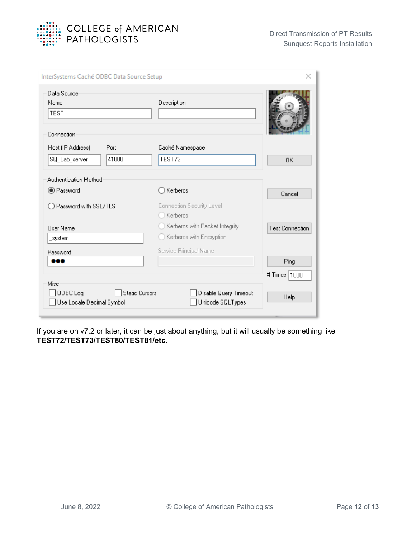

| InterSystems Caché ODBC Data Source Setup                                     |                                                                        |                        |
|-------------------------------------------------------------------------------|------------------------------------------------------------------------|------------------------|
| Data Source<br>Name<br><b>TEST</b><br>Connection                              | Description                                                            |                        |
| Host (IP Address)<br>Port<br>41000<br>SQ_Lab_server                           | Caché Namespace<br>TEST72                                              | 0K                     |
| Authentication Method<br><b>O</b> Password<br>Password with SSL/TLS           | Kerberos<br>Connection Security Level                                  | Cancel                 |
| <b>User Name</b><br>system                                                    | Kerberos<br>Kerberos with Packet Integrity<br>Kerberos with Encryption | <b>Test Connection</b> |
| Password<br><b>.</b>                                                          | Service Principal Name                                                 | Ping<br># Times   1000 |
| <b>Misc</b><br>ODBC Log<br><b>Static Cursors</b><br>Use Locale Decimal Symbol | Disable Query Timeout<br>Unicode SQLTypes                              | Help                   |

If you are on v7.2 or later, it can be just about anything, but it will usually be something like **TEST72/TEST73/TEST80/TEST81/etc**.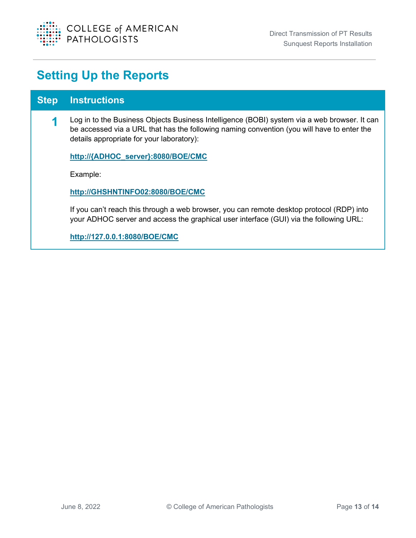

## <span id="page-13-0"></span>**Setting Up the Reports**

#### **Step Instructions**

**1** Log in to the Business Objects Business Intelligence (BOBI) system via a web browser. It can be accessed via a URL that has the following naming convention (you will have to enter the details appropriate for your laboratory):

**http://{ADHOC\_server}:8080/BOE/CMC**

Example:

**[http://GHSHNTINFO02:8080/BOE/CMC](http://ghshntinfo02:8080/BOE/CMC)**

If you can't reach this through a web browser, you can remote desktop protocol (RDP) into your ADHOC server and access the graphical user interface (GUI) via the following URL:

**<http://127.0.0.1:8080/BOE/CMC>**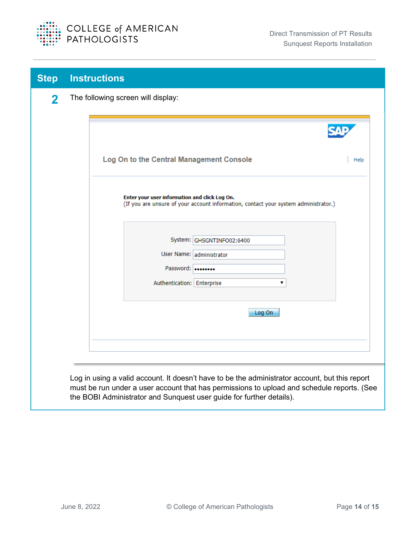

| <b>Step</b> | <b>Instructions</b>                                                                                                                                                |      |  |  |  |  |  |  |
|-------------|--------------------------------------------------------------------------------------------------------------------------------------------------------------------|------|--|--|--|--|--|--|
| 2           | The following screen will display:                                                                                                                                 |      |  |  |  |  |  |  |
|             |                                                                                                                                                                    |      |  |  |  |  |  |  |
|             |                                                                                                                                                                    |      |  |  |  |  |  |  |
|             | Log On to the Central Management Console                                                                                                                           | Help |  |  |  |  |  |  |
|             | Enter your user information and click Log On.<br>(If you are unsure of your account information, contact your system administrator.)                               |      |  |  |  |  |  |  |
|             | System: GHSGNTINFO02:6400                                                                                                                                          |      |  |  |  |  |  |  |
|             | User Name: administrator                                                                                                                                           |      |  |  |  |  |  |  |
|             | Password:<br>Authentication: Enterprise<br>۷.                                                                                                                      |      |  |  |  |  |  |  |
|             |                                                                                                                                                                    |      |  |  |  |  |  |  |
|             | Log On                                                                                                                                                             |      |  |  |  |  |  |  |
|             |                                                                                                                                                                    |      |  |  |  |  |  |  |
|             |                                                                                                                                                                    |      |  |  |  |  |  |  |
|             | Log in using a valid account. It doesn't have to be the administrator account, but this report                                                                     |      |  |  |  |  |  |  |
|             | must be run under a user account that has permissions to upload and schedule reports. (See<br>the BOBI Administrator and Sunquest user guide for further details). |      |  |  |  |  |  |  |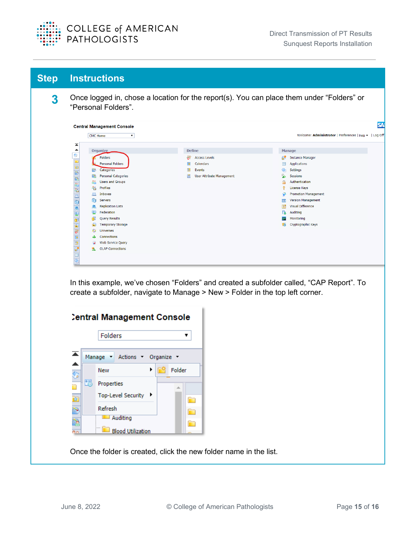

**3** Once logged in, chose a location for the report(s). You can place them under "Folders" or "Personal Folders".

| <b>CMC Home</b><br>▼           |                                       | Welcome: Administrator   Preferences   Help >   Log Off |
|--------------------------------|---------------------------------------|---------------------------------------------------------|
| Organize                       | <b>Define</b>                         | <b>Manage</b>                                           |
| Folders                        | <b>Access Levels</b>                  | 感<br><b>Instance Manager</b>                            |
| <b>Personal Folders</b>        | Calendars                             | <b>Applications</b>                                     |
| æ,<br>Categories               | 盟<br>Events                           | Settings<br>٨                                           |
| Personal Categories            | <b>User Attribute Management</b><br>閶 | ý.<br><b>Sessions</b>                                   |
| <b>Users and Groups</b>        |                                       | ê<br>Authentication                                     |
| 最<br><b>Profiles</b>           |                                       | ۰<br>License Keys                                       |
| Inboxes<br>⊠                   |                                       | ₽<br><b>Promotion Management</b>                        |
| 自<br>Servers                   |                                       | Version Management<br>$\overline{4}$                    |
| <b>Replication Lists</b><br>z. |                                       | æ<br><b>Visual Difference</b>                           |
| 叟<br>Federation                |                                       | B<br>Auditing                                           |
| <b>Query Results</b>           |                                       | Monitoring<br>ᆓ                                         |
| <b>Temporary Storage</b><br>R. |                                       | Cryptographic Keys<br>R.                                |
| <b>Universes</b>               |                                       |                                                         |
| <b>Connections</b><br>ᆇ        |                                       |                                                         |
| Web Service Query              |                                       |                                                         |
| <b>OLAP Connections</b>        |                                       |                                                         |

In this example, we've chosen "Folders" and created a subfolder called, "CAP Report". To create a subfolder, navigate to Manage > New > Folder in the top left corner.

|    |   | <b>Central Management Console</b> |   |        |  |
|----|---|-----------------------------------|---|--------|--|
|    |   | <b>Folders</b>                    |   |        |  |
| ≖  |   | Actions T Organize<br>Manage      |   |        |  |
| S  |   | <b>New</b>                        | ▶ | Folder |  |
|    | 跟 | Properties                        |   |        |  |
| ÈZ |   | <b>Top-Level Security</b>         |   |        |  |
| ۲  |   | Refresh                           |   |        |  |
|    |   | Auditing                          |   |        |  |
|    |   | <b>Blood Utilization</b>          |   |        |  |

Once the folder is created, click the new folder name in the list.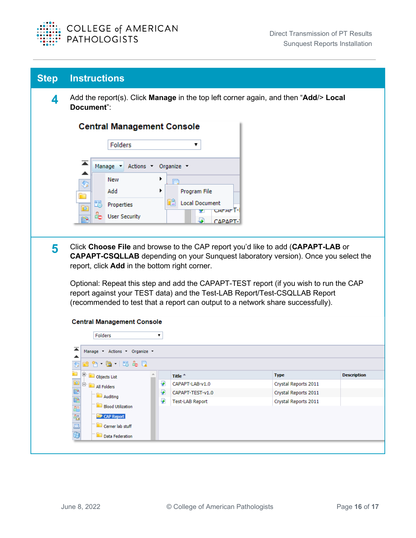

| <b>Step</b> | <b>Instructions</b>                                                                                                                                                                                                                                                                                                                                                                                                                                                                                                 |  |  |
|-------------|---------------------------------------------------------------------------------------------------------------------------------------------------------------------------------------------------------------------------------------------------------------------------------------------------------------------------------------------------------------------------------------------------------------------------------------------------------------------------------------------------------------------|--|--|
| 4           | Add the report(s). Click Manage in the top left corner again, and then "Add/> Local<br>Document":                                                                                                                                                                                                                                                                                                                                                                                                                   |  |  |
|             | <b>Central Management Console</b>                                                                                                                                                                                                                                                                                                                                                                                                                                                                                   |  |  |
|             | <b>Folders</b><br>▼                                                                                                                                                                                                                                                                                                                                                                                                                                                                                                 |  |  |
| 5           | Manage Actions Organize<br>New<br>٠<br>Program File<br>Add<br>٠<br>œ.<br><b>Local Document</b><br>跟<br>Properties<br>ÈZ<br>carar T-<br>÷<br><b>User Security</b><br>Þ<br>العا<br>ΓΔΡΔΡΤ-<br>Click Choose File and browse to the CAP report you'd like to add (CAPAPT-LAB or                                                                                                                                                                                                                                         |  |  |
|             | <b>CAPAPT-CSQLLAB</b> depending on your Sunquest laboratory version). Once you select the<br>report, click Add in the bottom right corner.<br>Optional: Repeat this step and add the CAPAPT-TEST report (if you wish to run the CAP<br>report against your TEST data) and the Test-LAB Report/Test-CSQLLAB Report<br>(recommended to test that a report can output to a network share successfully).<br><b>Central Management Console</b><br><b>Folders</b><br>▼<br>Manage Actions Organize v<br>1^ 6 13 & Q<br>rs. |  |  |
|             |                                                                                                                                                                                                                                                                                                                                                                                                                                                                                                                     |  |  |
|             |                                                                                                                                                                                                                                                                                                                                                                                                                                                                                                                     |  |  |
|             |                                                                                                                                                                                                                                                                                                                                                                                                                                                                                                                     |  |  |
|             | Objects List<br><b>Type</b><br><b>Description</b><br>Title <sup>4</sup>                                                                                                                                                                                                                                                                                                                                                                                                                                             |  |  |
|             | $\mathbf{r}$<br>₽<br>CAPAPT-LAB-v1.0<br>Crystal Reports 2011<br>All Folders                                                                                                                                                                                                                                                                                                                                                                                                                                         |  |  |
|             | B<br>B<br>Đ<br>CAPAPT-TEST-v1.0<br>Crystal Reports 2011<br>Auditing<br>₽<br>Crystal Reports 2011<br><b>Test-LAB Report</b>                                                                                                                                                                                                                                                                                                                                                                                          |  |  |
|             | 88<br><b>Blood Utilization</b><br>45<br>CAP Report<br>$\overline{\mathbb{Z}}$<br>Cerner lab stuff<br>审<br>Data Federation                                                                                                                                                                                                                                                                                                                                                                                           |  |  |
|             |                                                                                                                                                                                                                                                                                                                                                                                                                                                                                                                     |  |  |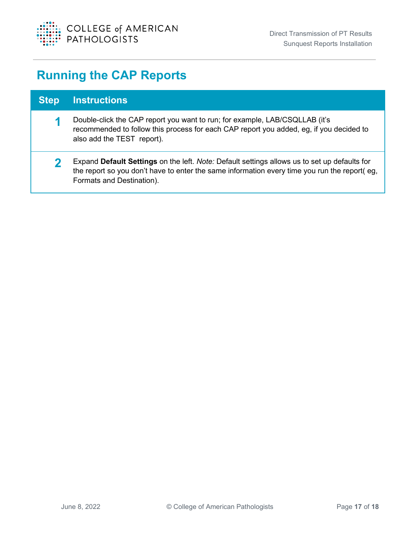

# <span id="page-17-0"></span>**Running the CAP Reports**

| <b>Step</b> | <b>Instructions</b>                                                                                                                                                                                                       |
|-------------|---------------------------------------------------------------------------------------------------------------------------------------------------------------------------------------------------------------------------|
| ч           | Double-click the CAP report you want to run; for example, LAB/CSQLLAB (it's<br>recommended to follow this process for each CAP report you added, eg, if you decided to<br>also add the TEST report).                      |
|             | Expand Default Settings on the left. Note: Default settings allows us to set up defaults for<br>the report so you don't have to enter the same information every time you run the report(eg,<br>Formats and Destination). |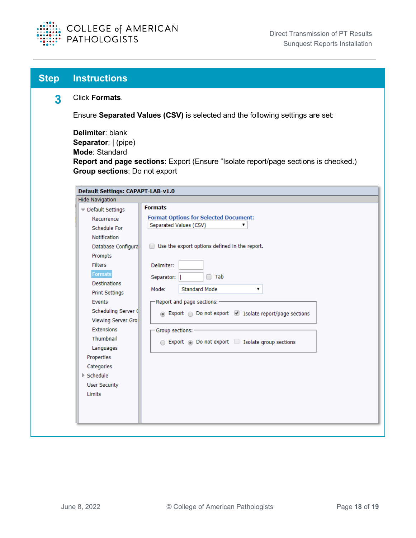

| <b>Step</b> | <b>Instructions</b>                                                                        |                                                                                     |  |
|-------------|--------------------------------------------------------------------------------------------|-------------------------------------------------------------------------------------|--|
| 3           | Click Formats.                                                                             |                                                                                     |  |
|             | Ensure Separated Values (CSV) is selected and the following settings are set:              |                                                                                     |  |
|             | Delimiter: blank<br>Separator:   (pipe)<br>Mode: Standard<br>Group sections: Do not export | Report and page sections: Export (Ensure "Isolate report/page sections is checked.) |  |
|             | Default Settings: CAPAPT-LAB-v1.0                                                          |                                                                                     |  |
|             | <b>Hide Navigation</b>                                                                     |                                                                                     |  |
|             | Default Settings                                                                           | <b>Formats</b>                                                                      |  |
|             | Recurrence                                                                                 | <b>Format Options for Selected Document:</b>                                        |  |
|             | Schedule For                                                                               | Separated Values (CSV)                                                              |  |
|             | Notification                                                                               |                                                                                     |  |
|             | Database Configura                                                                         | Use the export options defined in the report.                                       |  |
|             | Prompts                                                                                    |                                                                                     |  |
|             | <b>Filters</b>                                                                             | Delimiter:                                                                          |  |
|             | <b>Formats</b>                                                                             | $\Box$ Tab<br>Separator:                                                            |  |
|             | Destinations                                                                               |                                                                                     |  |
|             | <b>Print Settings</b>                                                                      | <b>Standard Mode</b><br>Mode:<br>7                                                  |  |
|             | Events                                                                                     | -Report and page sections: -                                                        |  |
|             | Scheduling Server (                                                                        | ⊙ Export ○ Do not export ■ Isolate report/page sections                             |  |
|             | Viewing Server Gro                                                                         |                                                                                     |  |
|             | <b>Extensions</b>                                                                          | Group sections: -                                                                   |  |
|             | Thumbnail                                                                                  | Export to Do not export Simulate group sections                                     |  |
|             | Languages                                                                                  |                                                                                     |  |
|             | Properties                                                                                 |                                                                                     |  |
|             | Categories                                                                                 |                                                                                     |  |
|             | ▶ Schedule                                                                                 |                                                                                     |  |
|             | <b>User Security</b>                                                                       |                                                                                     |  |
|             | Limits                                                                                     |                                                                                     |  |
|             |                                                                                            |                                                                                     |  |
|             |                                                                                            |                                                                                     |  |
|             |                                                                                            |                                                                                     |  |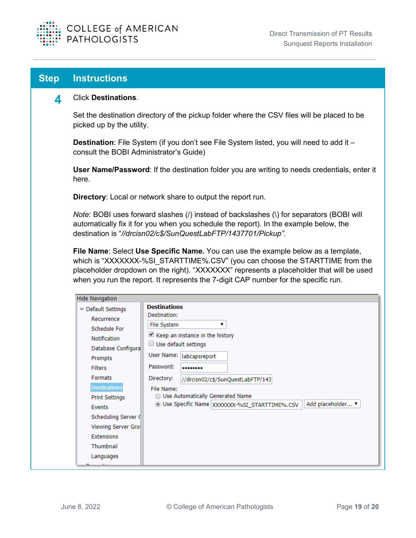

#### **4** Click **Destinations**.

Set the destination directory of the pickup folder where the CSV files will be placed to be picked up by the utility.

**Destination**: File System (if you don't see File System listed, you will need to add it – consult the BOBI Administrator's Guide)

**User Name/Password**: If the destination folder you are writing to needs credentials, enter it here.

**Directory**: Local or network share to output the report run.

*Note*: BOBI uses forward slashes (*l*) instead of backslashes (*\*) for separators (BOBI will automatically fix it for you when you schedule the report). In the example below, the destination is "*//drcisn02/c\$/SunQuestLabFTP/1437701/Pickup".*

**File Name**: Select **Use Specific Name.** You can use the example below as a template, which is "XXXXXXX-%SI\_STARTTIME%.CSV" (you can choose the STARTTIME from the placeholder dropdown on the right). "XXXXXXX" represents a placeholder that will be used when you run the report. It represents the 7-digit CAP number for the specific run.

| <b>Hide Navigation</b>                                                             |                                                                                                                    |  |  |  |
|------------------------------------------------------------------------------------|--------------------------------------------------------------------------------------------------------------------|--|--|--|
| $\blacktriangledown$ Default Settings                                              | <b>Destinations</b><br>Destination:                                                                                |  |  |  |
| Recurrence<br>Schedule For<br><b>Notification</b><br>Database Configura<br>Prompts | File System<br>$\Box$ Keep an instance in the history<br>$\Box$ Use default settings<br>User Name:   labcapsreport |  |  |  |
| <b>Filters</b><br><b>Formats</b>                                                   | Password:<br><br>Directory:<br>//drcisn02/c\$/SunQuestLabFTP/143                                                   |  |  |  |
| <b>Destinations</b><br><b>Print Settings</b>                                       | File Name:<br>◯ Use Automatically Generated Name                                                                   |  |  |  |
| <b>Events</b><br>Scheduling Server (                                               | Add placeholder ▼<br>· Use Specific Name XXXXXXX-%SI_STARTTIME%.CSV                                                |  |  |  |
| Viewing Server Gro<br><b>Extensions</b>                                            |                                                                                                                    |  |  |  |
| <b>Thumbnail</b>                                                                   |                                                                                                                    |  |  |  |
| Languages                                                                          |                                                                                                                    |  |  |  |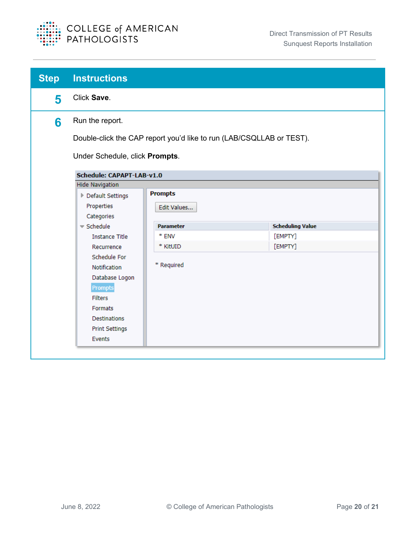

| <b>Step</b> | <b>Instructions</b>                                                  |                  |                         |  |
|-------------|----------------------------------------------------------------------|------------------|-------------------------|--|
| 5           | Click Save.                                                          |                  |                         |  |
| 6           | Run the report.                                                      |                  |                         |  |
|             | Double-click the CAP report you'd like to run (LAB/CSQLLAB or TEST). |                  |                         |  |
|             | Under Schedule, click Prompts.                                       |                  |                         |  |
|             | <b>Schedule: CAPAPT-LAB-v1.0</b>                                     |                  |                         |  |
|             | <b>Hide Navigation</b>                                               |                  |                         |  |
|             | ▶ Default Settings                                                   | <b>Prompts</b>   |                         |  |
|             | Properties                                                           | Edit Values      |                         |  |
|             | Categories                                                           |                  |                         |  |
|             | $\blacktriangledown$ Schedule                                        | <b>Parameter</b> | <b>Scheduling Value</b> |  |
|             | <b>Instance Title</b>                                                | * ENV            | [EMPTY]                 |  |
|             | Recurrence                                                           | * KitUID         | [EMPTY]                 |  |
|             | Schedule For                                                         |                  |                         |  |
|             | Notification                                                         | * Required       |                         |  |
|             | Database Logon                                                       |                  |                         |  |
|             | Prompts                                                              |                  |                         |  |
|             | <b>Filters</b>                                                       |                  |                         |  |
|             | Formats                                                              |                  |                         |  |
|             | <b>Destinations</b>                                                  |                  |                         |  |
|             | <b>Print Settings</b>                                                |                  |                         |  |
|             | Events                                                               |                  |                         |  |

 $\overline{\phantom{a}}$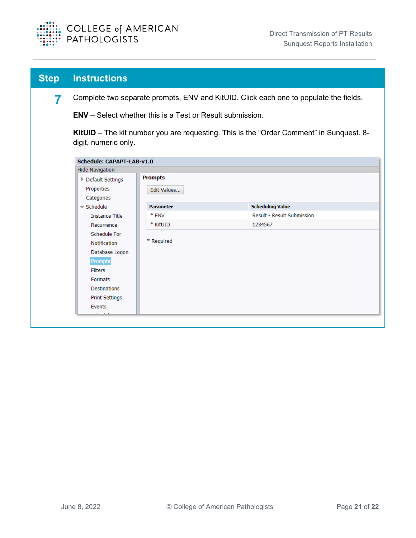

| <b>Step</b> | <b>Instructions</b>                                                                                                                                            |                  |                                                                                         |
|-------------|----------------------------------------------------------------------------------------------------------------------------------------------------------------|------------------|-----------------------------------------------------------------------------------------|
| 7           | Complete two separate prompts, ENV and KitUID. Click each one to populate the fields.                                                                          |                  |                                                                                         |
|             | <b>ENV</b> – Select whether this is a Test or Result submission.                                                                                               |                  |                                                                                         |
|             | digit, numeric only.                                                                                                                                           |                  | KitUID - The kit number you are requesting. This is the "Order Comment" in Sunquest. 8- |
|             | <b>Schedule: CAPAPT-LAB-v1.0</b><br><b>Hide Navigation</b>                                                                                                     |                  |                                                                                         |
|             | ▶ Default Settings                                                                                                                                             | <b>Prompts</b>   |                                                                                         |
|             | Properties<br>Categories                                                                                                                                       | Edit Values      |                                                                                         |
|             | $\blacktriangledown$ Schedule                                                                                                                                  | <b>Parameter</b> | <b>Scheduling Value</b>                                                                 |
|             | <b>Instance Title</b>                                                                                                                                          | * ENV            | <b>Result - Result Submission</b>                                                       |
|             | Recurrence                                                                                                                                                     | * KitUID         | 1234567                                                                                 |
|             | Schedule For<br><b>Notification</b><br>Database Logon<br>Prompts<br><b>Filters</b><br>Formats<br><b>Destinations</b><br><b>Print Settings</b><br><b>Events</b> | * Required       |                                                                                         |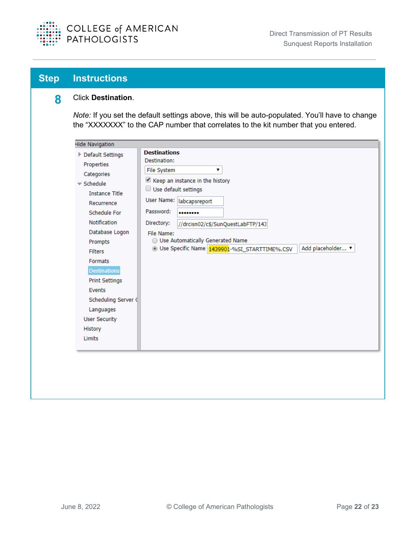

#### **8** Click **Destination**.

*Note:* If you set the default settings above, this will be auto-populated. You'll have to change the "XXXXXXX" to the CAP number that correlates to the kit number that you entered.

| <b>Hide Navigation</b>        |                                                                     |  |
|-------------------------------|---------------------------------------------------------------------|--|
| ▶ Default Settings            | <b>Destinations</b>                                                 |  |
| Properties                    | Destination:                                                        |  |
| Categories                    | File System<br>۷.                                                   |  |
| $\blacktriangledown$ Schedule | Keep an instance in the history                                     |  |
| <b>Instance Title</b>         | Use default settings                                                |  |
| Recurrence                    | User Name:   labcapsreport                                          |  |
| Schedule For                  | Password:<br>                                                       |  |
| <b>Notification</b>           | Directory:<br>//drcisn02/c\$/SunQuestLabFTP/143                     |  |
| Database Logon                | File Name:                                                          |  |
| Prompts                       | ◯ Use Automatically Generated Name                                  |  |
| <b>Filters</b>                | O Use Specific Name 1439901-%SI_STARTTIME%.CSV<br>Add placeholder ▼ |  |
| Formats                       |                                                                     |  |
| <b>Destinations</b>           |                                                                     |  |
| <b>Print Settings</b>         |                                                                     |  |
| Events                        |                                                                     |  |
| Scheduling Server (           |                                                                     |  |
| Languages                     |                                                                     |  |
| <b>User Security</b>          |                                                                     |  |
| History                       |                                                                     |  |
| <b>Limits</b>                 |                                                                     |  |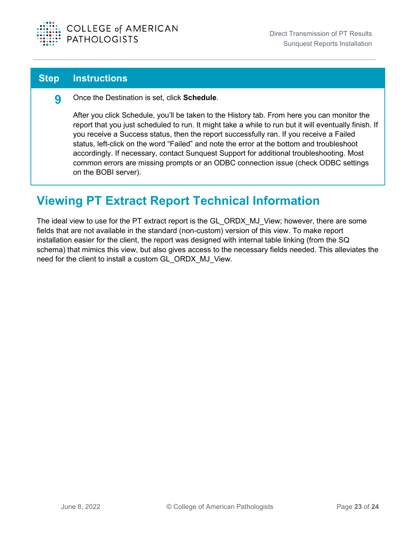

**9** Once the Destination is set, click **Schedule**.

After you click Schedule, you'll be taken to the History tab. From here you can monitor the report that you just scheduled to run. It might take a while to run but it will eventually finish. If you receive a Success status, then the report successfully ran. If you receive a Failed status, left-click on the word "Failed" and note the error at the bottom and troubleshoot accordingly. If necessary, contact Sunquest Support for additional troubleshooting. Most common errors are missing prompts or an ODBC connection issue (check ODBC settings on the BOBI server).

### <span id="page-23-0"></span>**Viewing PT Extract Report Technical Information**

The ideal view to use for the PT extract report is the GL\_ORDX\_MJ\_View; however, there are some fields that are not available in the standard (non-custom) version of this view. To make report installation easier for the client, the report was designed with internal table linking (from the SQ schema) that mimics this view, but also gives access to the necessary fields needed. This alleviates the need for the client to install a custom GL\_ORDX\_MJ\_View.